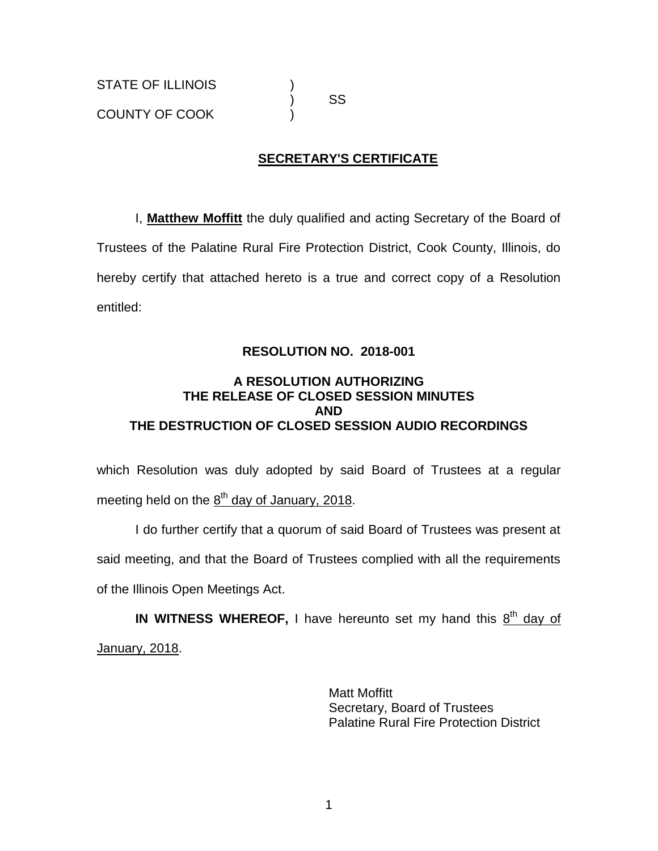) SS

# **SECRETARY'S CERTIFICATE**

I, **Matthew Moffitt** the duly qualified and acting Secretary of the Board of Trustees of the Palatine Rural Fire Protection District, Cook County, Illinois, do hereby certify that attached hereto is a true and correct copy of a Resolution entitled:

### **RESOLUTION NO. 2018-001**

### **A RESOLUTION AUTHORIZING THE RELEASE OF CLOSED SESSION MINUTES AND THE DESTRUCTION OF CLOSED SESSION AUDIO RECORDINGS**

which Resolution was duly adopted by said Board of Trustees at a regular meeting held on the  $\underline{8}^{\text{th}}$  day of January, 2018.

I do further certify that a quorum of said Board of Trustees was present at said meeting, and that the Board of Trustees complied with all the requirements of the Illinois Open Meetings Act.

IN WITNESS WHEREOF, I have hereunto set my hand this 8<sup>th</sup> day of January, 2018.

> Matt Moffitt Secretary, Board of Trustees Palatine Rural Fire Protection District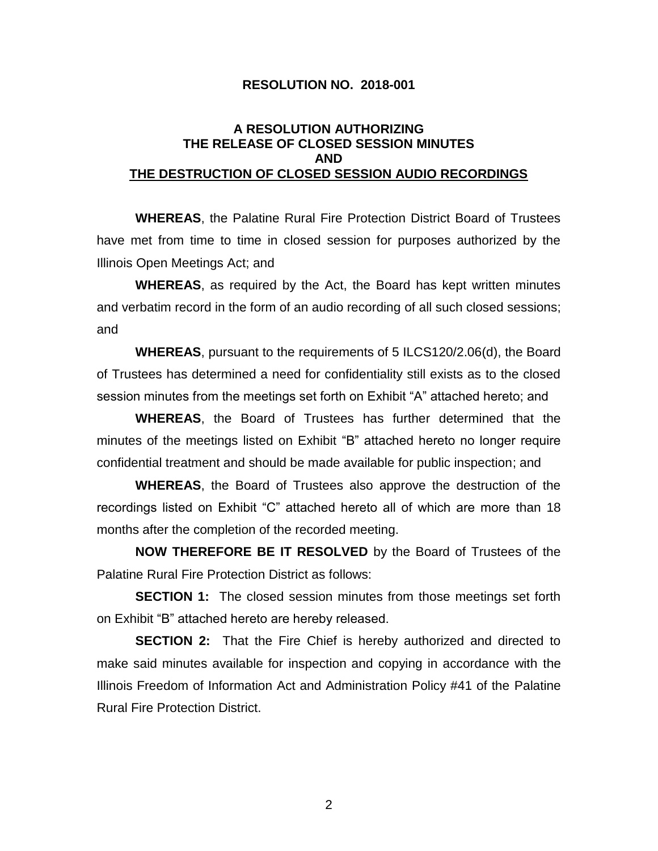#### **RESOLUTION NO. 2018-001**

#### **A RESOLUTION AUTHORIZING THE RELEASE OF CLOSED SESSION MINUTES AND THE DESTRUCTION OF CLOSED SESSION AUDIO RECORDINGS**

**WHEREAS**, the Palatine Rural Fire Protection District Board of Trustees have met from time to time in closed session for purposes authorized by the Illinois Open Meetings Act; and

**WHEREAS**, as required by the Act, the Board has kept written minutes and verbatim record in the form of an audio recording of all such closed sessions; and

**WHEREAS**, pursuant to the requirements of 5 ILCS120/2.06(d), the Board of Trustees has determined a need for confidentiality still exists as to the closed session minutes from the meetings set forth on Exhibit "A" attached hereto; and

**WHEREAS**, the Board of Trustees has further determined that the minutes of the meetings listed on Exhibit "B" attached hereto no longer require confidential treatment and should be made available for public inspection; and

**WHEREAS**, the Board of Trustees also approve the destruction of the recordings listed on Exhibit "C" attached hereto all of which are more than 18 months after the completion of the recorded meeting.

**NOW THEREFORE BE IT RESOLVED** by the Board of Trustees of the Palatine Rural Fire Protection District as follows:

**SECTION 1:** The closed session minutes from those meetings set forth on Exhibit "B" attached hereto are hereby released.

**SECTION 2:** That the Fire Chief is hereby authorized and directed to make said minutes available for inspection and copying in accordance with the Illinois Freedom of Information Act and Administration Policy #41 of the Palatine Rural Fire Protection District.

2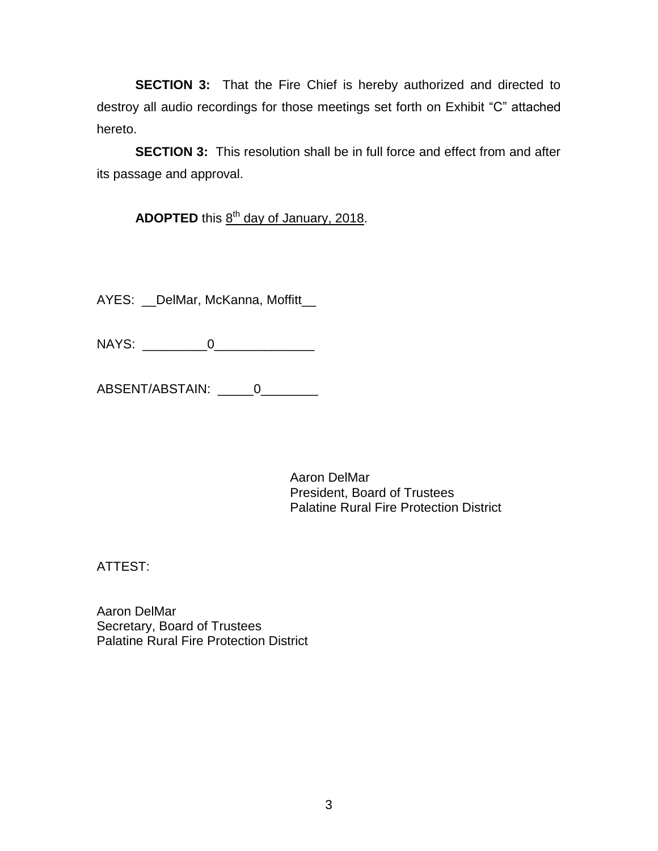**SECTION 3:** That the Fire Chief is hereby authorized and directed to destroy all audio recordings for those meetings set forth on Exhibit "C" attached hereto.

**SECTION 3:** This resolution shall be in full force and effect from and after its passage and approval.

ADOPTED this 8<sup>th</sup> day of January, 2018.

AYES: \_DelMar, McKanna, Moffitt\_

NAYS: \_\_\_\_\_\_\_\_\_0\_\_\_\_\_\_\_\_\_\_\_\_\_\_

ABSENT/ABSTAIN: \_\_\_\_\_0\_\_\_\_\_\_\_\_

Aaron DelMar President, Board of Trustees Palatine Rural Fire Protection District

ATTEST:

Aaron DelMar Secretary, Board of Trustees Palatine Rural Fire Protection District